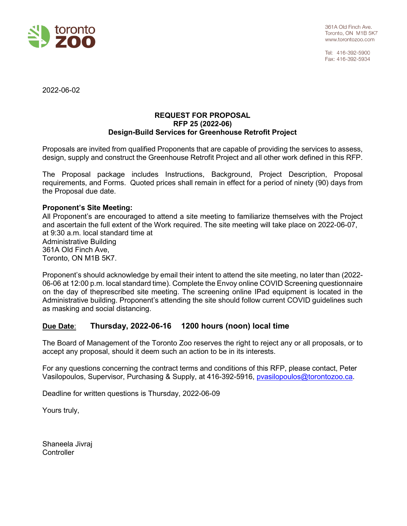

Tel: 416-392-5900 Fax: 416-392-5934

2022-06-02

## **REQUEST FOR PROPOSAL RFP 25 (2022-06) Design-Build Services for Greenhouse Retrofit Project**

Proposals are invited from qualified Proponents that are capable of providing the services to assess, design, supply and construct the Greenhouse Retrofit Project and all other work defined in this RFP.

The Proposal package includes Instructions, Background, Project Description, Proposal requirements, and Forms. Quoted prices shall remain in effect for a period of ninety (90) days from the Proposal due date.

## **Proponent's Site Meeting:**

All Proponent's are encouraged to attend a site meeting to familiarize themselves with the Project and ascertain the full extent of the Work required. The site meeting will take place on 2022-06-07, at 9:30 a.m. local standard time at Administrative Building 361A Old Finch Ave, Toronto, ON M1B 5K7.

Proponent's should acknowledge by email their intent to attend the site meeting, no later than (2022- 06-06 at 12:00 p.m. local standard time). Complete the Envoy online COVID Screening questionnaire on the day of theprescribed site meeting. The screening online IPad equipment is located in the Administrative building. Proponent's attending the site should follow current COVID guidelines such as masking and social distancing.

# **Due Date**: **Thursday, 2022-06-16 1200 hours (noon) local time**

The Board of Management of the Toronto Zoo reserves the right to reject any or all proposals, or to accept any proposal, should it deem such an action to be in its interests.

For any questions concerning the contract terms and conditions of this RFP, please contact, Peter Vasilopoulos, Supervisor, Purchasing & Supply, at 416-392-5916, [pvasilopoulos@torontozoo.ca.](mailto:pvasilopoulos@torontozoo.ca)

Deadline for written questions is Thursday, 2022-06-09

Yours truly,

Shaneela Jivraj **Controller**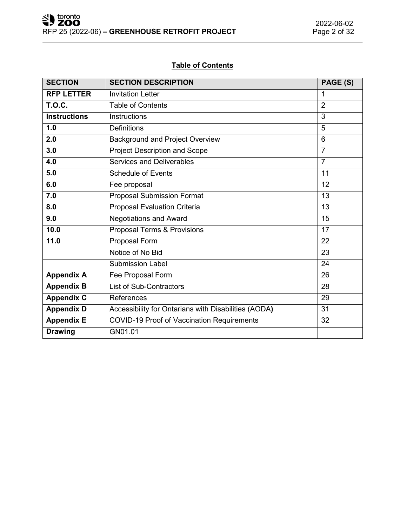# **Table of Contents**

| <b>SECTION</b>      | <b>SECTION DESCRIPTION</b>                           | PAGE (S)        |
|---------------------|------------------------------------------------------|-----------------|
| <b>RFP LETTER</b>   | <b>Invitation Letter</b>                             | 1               |
| <b>T.O.C.</b>       | <b>Table of Contents</b>                             | $\overline{2}$  |
| <b>Instructions</b> | Instructions                                         | 3               |
| 1.0                 | <b>Definitions</b>                                   | 5               |
| 2.0                 | <b>Background and Project Overview</b>               | 6               |
| 3.0                 | Project Description and Scope                        | $\overline{7}$  |
| 4.0                 | Services and Deliverables                            | $\overline{7}$  |
| 5.0                 | <b>Schedule of Events</b>                            | 11              |
| 6.0                 | Fee proposal                                         | 12              |
| 7.0                 | <b>Proposal Submission Format</b>                    | $\overline{13}$ |
| 8.0                 | Proposal Evaluation Criteria                         | 13              |
| 9.0                 | <b>Negotiations and Award</b>                        | 15              |
| 10.0                | Proposal Terms & Provisions                          | 17              |
| 11.0                | Proposal Form                                        | 22              |
|                     | Notice of No Bid                                     | 23              |
|                     | <b>Submission Label</b>                              | 24              |
| <b>Appendix A</b>   | Fee Proposal Form                                    | 26              |
| <b>Appendix B</b>   | <b>List of Sub-Contractors</b>                       | 28              |
| <b>Appendix C</b>   | <b>References</b>                                    | 29              |
| <b>Appendix D</b>   | Accessibility for Ontarians with Disabilities (AODA) | 31              |
| <b>Appendix E</b>   | <b>COVID-19 Proof of Vaccination Requirements</b>    | 32              |
| <b>Drawing</b>      | GN01.01                                              |                 |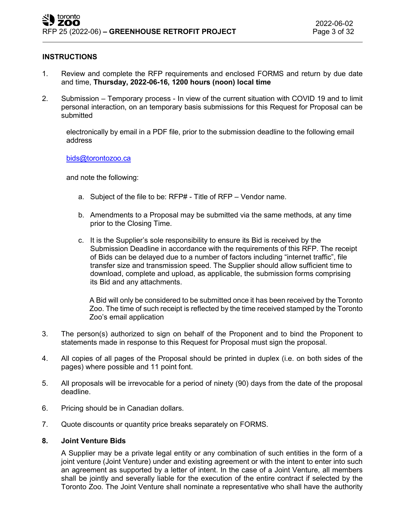## **INSTRUCTIONS**

- 1. Review and complete the RFP requirements and enclosed FORMS and return by due date and time, **Thursday, 2022-06-16, 1200 hours (noon) local time**
- 2. Submission Temporary process In view of the current situation with COVID 19 and to limit personal interaction, on an temporary basis submissions for this Request for Proposal can be submitted

electronically by email in a PDF file, prior to the submission deadline to the following email address

#### [bids@torontozoo.ca](mailto:bids@torontozoo.ca)

and note the following:

- a. Subject of the file to be: RFP# Title of RFP Vendor name.
- b. Amendments to a Proposal may be submitted via the same methods, at any time prior to the Closing Time.
- c. It is the Supplier's sole responsibility to ensure its Bid is received by the Submission Deadline in accordance with the requirements of this RFP. The receipt of Bids can be delayed due to a number of factors including "internet traffic", file transfer size and transmission speed. The Supplier should allow sufficient time to download, complete and upload, as applicable, the submission forms comprising its Bid and any attachments.

A Bid will only be considered to be submitted once it has been received by the Toronto Zoo. The time of such receipt is reflected by the time received stamped by the Toronto Zoo's email application

- 3. The person(s) authorized to sign on behalf of the Proponent and to bind the Proponent to statements made in response to this Request for Proposal must sign the proposal.
- 4. All copies of all pages of the Proposal should be printed in duplex (i.e. on both sides of the pages) where possible and 11 point font.
- 5. All proposals will be irrevocable for a period of ninety (90) days from the date of the proposal deadline.
- 6. Pricing should be in Canadian dollars.
- 7. Quote discounts or quantity price breaks separately on FORMS.

## **8. Joint Venture Bids**

A Supplier may be a private legal entity or any combination of such entities in the form of a joint venture (Joint Venture) under and existing agreement or with the intent to enter into such an agreement as supported by a letter of intent. In the case of a Joint Venture, all members shall be jointly and severally liable for the execution of the entire contract if selected by the Toronto Zoo. The Joint Venture shall nominate a representative who shall have the authority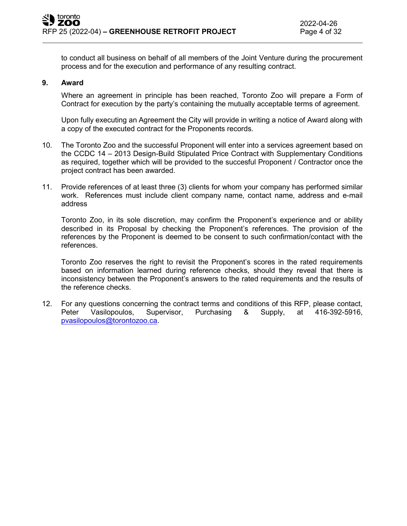to conduct all business on behalf of all members of the Joint Venture during the procurement process and for the execution and performance of any resulting contract.

#### **9. Award**

Where an agreement in principle has been reached, Toronto Zoo will prepare a Form of Contract for execution by the party's containing the mutually acceptable terms of agreement.

Upon fully executing an Agreement the City will provide in writing a notice of Award along with a copy of the executed contract for the Proponents records.

- 10. The Toronto Zoo and the successful Proponent will enter into a services agreement based on the CCDC 14 – 2013 Design-Build Stipulated Price Contract with Supplementary Conditions as required, together which will be provided to the succesful Proponent / Contractor once the project contract has been awarded.
- 11. Provide references of at least three (3) clients for whom your company has performed similar work. References must include client company name, contact name, address and e-mail address

Toronto Zoo, in its sole discretion, may confirm the Proponent's experience and or ability described in its Proposal by checking the Proponent's references. The provision of the references by the Proponent is deemed to be consent to such confirmation/contact with the references.

Toronto Zoo reserves the right to revisit the Proponent's scores in the rated requirements based on information learned during reference checks, should they reveal that there is inconsistency between the Proponent's answers to the rated requirements and the results of the reference checks.

12. For any questions concerning the contract terms and conditions of this RFP, please contact, Peter Vasilopoulos, Supervisor, Purchasing & Supply, at 416-392-5916, [pvasilopoulos@torontozoo.ca.](mailto:pvasilopoulos@torontozoo.ca)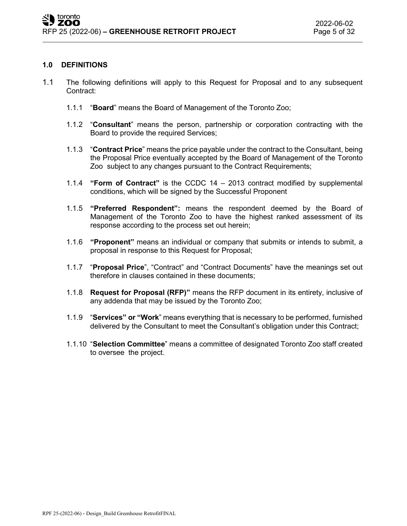## **1.0 DEFINITIONS**

- 1.1 The following definitions will apply to this Request for Proposal and to any subsequent Contract:
	- 1.1.1 "**Board**" means the Board of Management of the Toronto Zoo;
	- 1.1.2 "**Consultant**" means the person, partnership or corporation contracting with the Board to provide the required Services;
	- 1.1.3 "**Contract Price**" means the price payable under the contract to the Consultant, being the Proposal Price eventually accepted by the Board of Management of the Toronto Zoo subject to any changes pursuant to the Contract Requirements;
	- 1.1.4 **"Form of Contract"** is the CCDC 14 2013 contract modified by supplemental conditions, which will be signed by the Successful Proponent
	- 1.1.5 **"Preferred Respondent":** means the respondent deemed by the Board of Management of the Toronto Zoo to have the highest ranked assessment of its response according to the process set out herein;
	- 1.1.6 **"Proponent"** means an individual or company that submits or intends to submit, a proposal in response to this Request for Proposal;
	- 1.1.7 "**Proposal Price**", "Contract" and "Contract Documents" have the meanings set out therefore in clauses contained in these documents;
	- 1.1.8 **Request for Proposal (RFP)"** means the RFP document in its entirety, inclusive of any addenda that may be issued by the Toronto Zoo;
	- 1.1.9 "**Services" or "Work**" means everything that is necessary to be performed, furnished delivered by the Consultant to meet the Consultant's obligation under this Contract;
	- 1.1.10 "**Selection Committee**" means a committee of designated Toronto Zoo staff created to oversee the project.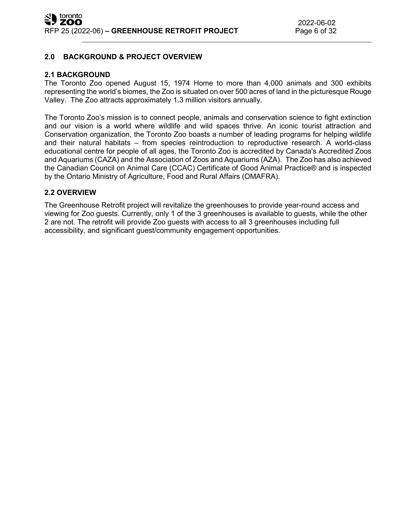# **2.0 BACKGROUND & PROJECT OVERVIEW**

## **2.1 BACKGROUND**

The Toronto Zoo opened August 15, 1974 Home to more than 4,000 animals and 300 exhibits representing the world's biomes, the Zoo is situated on over 500 acres of land in the picturesque Rouge Valley. The Zoo attracts approximately 1.3 million visitors annually.

The Toronto Zoo's mission is to connect people, animals and conservation science to fight extinction and our vision is a world where wildlife and wild spaces thrive. An iconic tourist attraction and Conservation organization, the Toronto Zoo boasts a number of leading programs for helping wildlife and their natural habitats – from species reintroduction to reproductive research. A world-class educational centre for people of all ages, the Toronto Zoo is accredited by Canada's Accredited Zoos and Aquariums (CAZA) and the Association of Zoos and Aquariums (AZA). The Zoo has also achieved the Canadian Council on Animal Care (CCAC) Certificate of Good Animal Practice® and is inspected by the Ontario Ministry of Agriculture, Food and Rural Affairs (OMAFRA).

## **2.2 OVERVIEW**

The Greenhouse Retrofit project will revitalize the greenhouses to provide year-round access and viewing for Zoo guests. Currently, only 1 of the 3 greenhouses is available to guests, while the other 2 are not. The retrofit will provide Zoo guests with access to all 3 greenhouses including full accessibility, and significant guest/community engagement opportunities.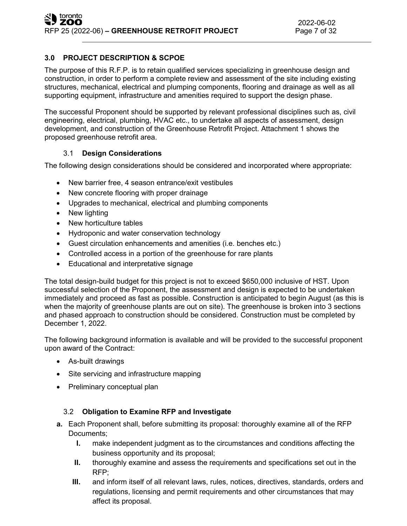# **3.0 PROJECT DESCRIPTION & SCPOE**

The purpose of this R.F.P. is to retain qualified services specializing in greenhouse design and construction, in order to perform a complete review and assessment of the site including existing structures, mechanical, electrical and plumping components, flooring and drainage as well as all supporting equipment, infrastructure and amenities required to support the design phase.

The successful Proponent should be supported by relevant professional disciplines such as, civil engineering, electrical, plumbing, HVAC etc., to undertake all aspects of assessment, design development, and construction of the Greenhouse Retrofit Project. Attachment 1 shows the proposed greenhouse retrofit area.

# 3.1 **Design Considerations**

The following design considerations should be considered and incorporated where appropriate:

- New barrier free, 4 season entrance/exit vestibules
- New concrete flooring with proper drainage
- Upgrades to mechanical, electrical and plumbing components
- New lighting
- New horticulture tables
- Hydroponic and water conservation technology
- Guest circulation enhancements and amenities (i.e. benches etc.)
- Controlled access in a portion of the greenhouse for rare plants
- Educational and interpretative signage

The total design-build budget for this project is not to exceed \$650,000 inclusive of HST. Upon successful selection of the Proponent, the assessment and design is expected to be undertaken immediately and proceed as fast as possible. Construction is anticipated to begin August (as this is when the majority of greenhouse plants are out on site). The greenhouse is broken into 3 sections and phased approach to construction should be considered. Construction must be completed by December 1, 2022.

The following background information is available and will be provided to the successful proponent upon award of the Contract:

- As-built drawings
- Site servicing and infrastructure mapping
- Preliminary conceptual plan

# 3.2 **Obligation to Examine RFP and Investigate**

- **a.** Each Proponent shall, before submitting its proposal: thoroughly examine all of the RFP Documents;
	- **I.** make independent judgment as to the circumstances and conditions affecting the business opportunity and its proposal;
	- **II.** thoroughly examine and assess the requirements and specifications set out in the RFP;
	- **III.** and inform itself of all relevant laws, rules, notices, directives, standards, orders and regulations, licensing and permit requirements and other circumstances that may affect its proposal.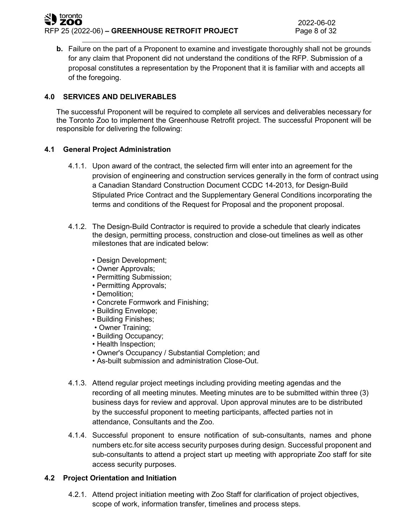## toronto ZOO RFP 25 (2022-06) – GREENHOUSE RETROFIT PROJECT Page 8 of 32

**b.** Failure on the part of a Proponent to examine and investigate thoroughly shall not be grounds for any claim that Proponent did not understand the conditions of the RFP. Submission of a proposal constitutes a representation by the Proponent that it is familiar with and accepts all of the foregoing.

# **4.0 SERVICES AND DELIVERABLES**

The successful Proponent will be required to complete all services and deliverables necessary for the Toronto Zoo to implement the Greenhouse Retrofit project. The successful Proponent will be responsible for delivering the following:

# **4.1 General Project Administration**

- 4.1.1. Upon award of the contract, the selected firm will enter into an agreement for the provision of engineering and construction services generally in the form of contract using a Canadian Standard Construction Document CCDC 14-2013, for Design-Build Stipulated Price Contract and the Supplementary General Conditions incorporating the terms and conditions of the Request for Proposal and the proponent proposal.
- 4.1.2. The Design-Build Contractor is required to provide a schedule that clearly indicates the design, permitting process, construction and close-out timelines as well as other milestones that are indicated below:
	- Design Development;
	- Owner Approvals;
	- Permitting Submission;
	- Permitting Approvals;
	- Demolition;
	- Concrete Formwork and Finishing;
	- Building Envelope;
	- Building Finishes;
	- Owner Training;
	- Building Occupancy;
	- Health Inspection;
	- Owner's Occupancy / Substantial Completion; and
	- As-built submission and administration Close-Out.
- 4.1.3. Attend regular project meetings including providing meeting agendas and the recording of all meeting minutes. Meeting minutes are to be submitted within three (3) business days for review and approval. Upon approval minutes are to be distributed by the successful proponent to meeting participants, affected parties not in attendance, Consultants and the Zoo.
- 4.1.4. Successful proponent to ensure notification of sub-consultants, names and phone numbers etc.for site access security purposes during design. Successful proponent and sub-consultants to attend a project start up meeting with appropriate Zoo staff for site access security purposes.

# **4.2 Project Orientation and Initiation**

4.2.1. Attend project initiation meeting with Zoo Staff for clarification of project objectives, scope of work, information transfer, timelines and process steps.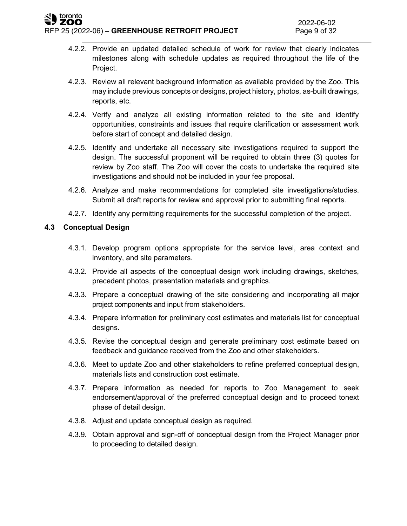- 4.2.2. Provide an updated detailed schedule of work for review that clearly indicates milestones along with schedule updates as required throughout the life of the Project.
- 4.2.3. Review all relevant background information as available provided by the Zoo. This may include previous concepts or designs, project history, photos, as-built drawings, reports, etc.
- 4.2.4. Verify and analyze all existing information related to the site and identify opportunities, constraints and issues that require clarification or assessment work before start of concept and detailed design.
- 4.2.5. Identify and undertake all necessary site investigations required to support the design. The successful proponent will be required to obtain three (3) quotes for review by Zoo staff. The Zoo will cover the costs to undertake the required site investigations and should not be included in your fee proposal.
- 4.2.6. Analyze and make recommendations for completed site investigations/studies. Submit all draft reports for review and approval prior to submitting final reports.
- 4.2.7. Identify any permitting requirements for the successful completion of the project.

# **4.3 Conceptual Design**

- 4.3.1. Develop program options appropriate for the service level, area context and inventory, and site parameters.
- 4.3.2. Provide all aspects of the conceptual design work including drawings, sketches, precedent photos, presentation materials and graphics.
- 4.3.3. Prepare a conceptual drawing of the site considering and incorporating all major project components and input from stakeholders.
- 4.3.4. Prepare information for preliminary cost estimates and materials list for conceptual designs.
- 4.3.5. Revise the conceptual design and generate preliminary cost estimate based on feedback and guidance received from the Zoo and other stakeholders.
- 4.3.6. Meet to update Zoo and other stakeholders to refine preferred conceptual design, materials lists and construction cost estimate.
- 4.3.7. Prepare information as needed for reports to Zoo Management to seek endorsement/approval of the preferred conceptual design and to proceed tonext phase of detail design.
- 4.3.8. Adjust and update conceptual design as required.
- 4.3.9. Obtain approval and sign-off of conceptual design from the Project Manager prior to proceeding to detailed design.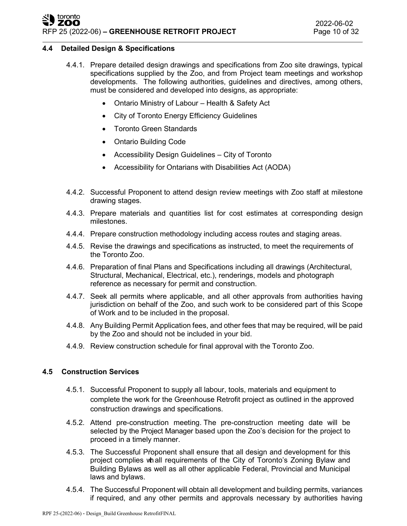# toronto<br>**ZOO** RFP 25 (2022-06) **– GREENHOUSE RETROFIT PROJECT** Page 10 of 32

# **4.4 Detailed Design & Specifications**

- 4.4.1. Prepare detailed design drawings and specifications from Zoo site drawings, typical specifications supplied by the Zoo, and from Project team meetings and workshop developments. The following authorities, guidelines and directives, among others, must be considered and developed into designs, as appropriate:
	- Ontario Ministry of Labour Health & Safety Act
	- City of Toronto Energy Efficiency Guidelines
	- Toronto Green Standards
	- Ontario Building Code
	- Accessibility Design Guidelines City of Toronto
	- Accessibility for Ontarians with Disabilities Act (AODA)
- 4.4.2. Successful Proponent to attend design review meetings with Zoo staff at milestone drawing stages.
- 4.4.3. Prepare materials and quantities list for cost estimates at corresponding design milestones.
- 4.4.4. Prepare construction methodology including access routes and staging areas.
- 4.4.5. Revise the drawings and specifications as instructed, to meet the requirements of the Toronto Zoo.
- 4.4.6. Preparation of final Plans and Specifications including all drawings (Architectural, Structural, Mechanical, Electrical, etc.), renderings, models and photograph reference as necessary for permit and construction.
- 4.4.7. Seek all permits where applicable, and all other approvals from authorities having jurisdiction on behalf of the Zoo, and such work to be considered part of this Scope of Work and to be included in the proposal.
- 4.4.8. Any Building Permit Application fees, and other fees that may be required, will be paid by the Zoo and should not be included in your bid.
- 4.4.9. Review construction schedule for final approval with the Toronto Zoo.

## **4.5 Construction Services**

- 4.5.1. Successful Proponent to supply all labour, tools, materials and equipment to complete the work for the Greenhouse Retrofit project as outlined in the approved construction drawings and specifications.
- 4.5.2. Attend pre-construction meeting. The pre-construction meeting date will be selected by the Project Manager based upon the Zoo's decision for the project to proceed in a timely manner.
- 4.5.3. The Successful Proponent shall ensure that all design and development for this project complies whall requirements of the City of Toronto's Zoning Bylaw and Building Bylaws as well as all other applicable Federal, Provincial and Municipal laws and bylaws.
- 4.5.4. The Successful Proponent will obtain all development and building permits, variances if required, and any other permits and approvals necessary by authorities having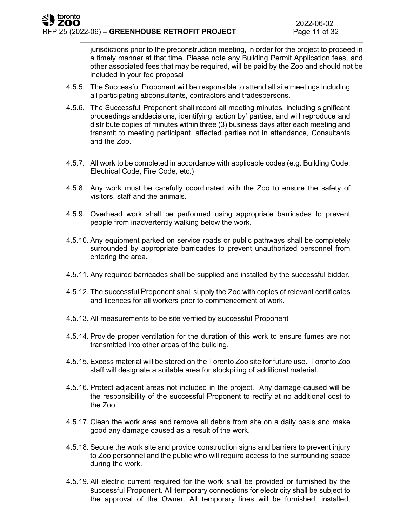jurisdictions prior to the preconstruction meeting, in order for the project to proceed in a timely manner at that time. Please note any Building Permit Application fees, and other associated fees that may be required, will be paid by the Zoo and should not be included in your fee proposal

- 4.5.5. The Successful Proponent will be responsible to attend all site meetings including all participating subconsultants, contractors and tradespersons.
- 4.5.6. The Successful Proponent shall record all meeting minutes, including significant proceedings anddecisions, identifying 'action by' parties, and will reproduce and distribute copies of minutes within three (3) business days after each meeting and transmit to meeting participant, affected parties not in attendance, Consultants and the Zoo.
- 4.5.7. All work to be completed in accordance with applicable codes (e.g. Building Code, Electrical Code, Fire Code, etc.)
- 4.5.8. Any work must be carefully coordinated with the Zoo to ensure the safety of visitors, staff and the animals.
- 4.5.9. Overhead work shall be performed using appropriate barricades to prevent people from inadvertently walking below the work.
- 4.5.10. Any equipment parked on service roads or public pathways shall be completely surrounded by appropriate barricades to prevent unauthorized personnel from entering the area.
- 4.5.11. Any required barricades shall be supplied and installed by the successful bidder.
- 4.5.12. The successful Proponent shall supply the Zoo with copies of relevant certificates and licences for all workers prior to commencement of work.
- 4.5.13. All measurements to be site verified by successful Proponent
- 4.5.14. Provide proper ventilation for the duration of this work to ensure fumes are not transmitted into other areas of the building.
- 4.5.15. Excess material will be stored on the Toronto Zoo site for future use. Toronto Zoo staff will designate a suitable area for stockpiling of additional material.
- 4.5.16. Protect adjacent areas not included in the project. Any damage caused will be the responsibility of the successful Proponent to rectify at no additional cost to the Zoo.
- 4.5.17. Clean the work area and remove all debris from site on a daily basis and make good any damage caused as a result of the work.
- 4.5.18. Secure the work site and provide construction signs and barriers to prevent injury to Zoo personnel and the public who will require access to the surrounding space during the work.
- 4.5.19. All electric current required for the work shall be provided or furnished by the successful Proponent. All temporary connections for electricity shall be subject to the approval of the Owner. All temporary lines will be furnished, installed,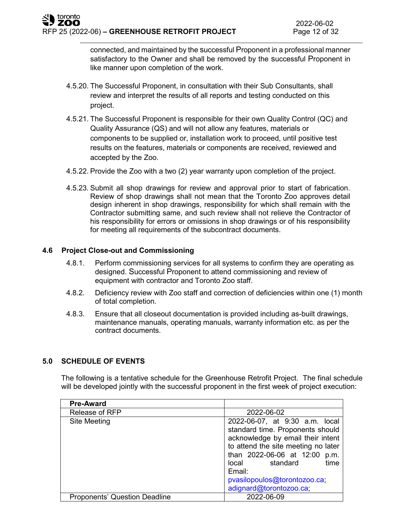connected, and maintained by the successful Proponent in a professional manner satisfactory to the Owner and shall be removed by the successful Proponent in like manner upon completion of the work.

- 4.5.20. The Successful Proponent, in consultation with their Sub Consultants, shall review and interpret the results of all reports and testing conducted on this project.
- 4.5.21. The Successful Proponent is responsible for their own Quality Control (QC) and Quality Assurance (QS) and will not allow any features, materials or components to be supplied or, installation work to proceed, until positive test results on the features, materials or components are received, reviewed and accepted by the Zoo.
- 4.5.22. Provide the Zoo with a two (2) year warranty upon completion of the project.
- 4.5.23. Submit all shop drawings for review and approval prior to start of fabrication. Review of shop drawings shall not mean that the Toronto Zoo approves detail design inherent in shop drawings, responsibility for which shall remain with the Contractor submitting same, and such review shall not relieve the Contractor of his responsibility for errors or omissions in shop drawings or of his responsibility for meeting all requirements of the subcontract documents.

## **4.6 Project Close-out and Commissioning**

- 4.8.1. Perform commissioning services for all systems to confirm they are operating as designed. Successful Proponent to attend commissioning and review of equipment with contractor and Toronto Zoo staff.
- 4.8.2. Deficiency review with Zoo staff and correction of deficiencies within one (1) month of total completion.
- 4.8.3. Ensure that all closeout documentation is provided including as-built drawings, maintenance manuals, operating manuals, warranty information etc. as per the contract documents.

# **5.0 SCHEDULE OF EVENTS**

The following is a tentative schedule for the Greenhouse Retrofit Project. The final schedule will be developed jointly with the successful proponent in the first week of project execution:

| <b>Pre-Award</b>                     |                                                                                                                                                                                                                                                                                   |
|--------------------------------------|-----------------------------------------------------------------------------------------------------------------------------------------------------------------------------------------------------------------------------------------------------------------------------------|
| <b>Release of RFP</b>                | 2022-06-02                                                                                                                                                                                                                                                                        |
| Site Meeting                         | 2022-06-07, at 9:30 a.m. local<br>standard time. Proponents should<br>acknowledge by email their intent<br>to attend the site meeting no later<br>than 2022-06-06 at 12:00 p.m.<br>standard<br>time<br>local<br>Email:<br>pvasilopoulos@torontozoo.ca;<br>adignard@torontozoo.ca; |
| <b>Proponents' Question Deadline</b> | 2022-06-09                                                                                                                                                                                                                                                                        |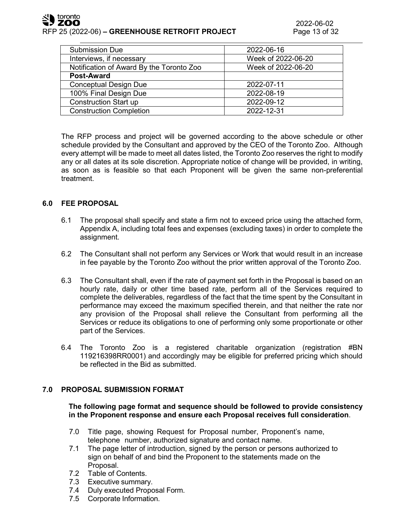

| <b>Submission Due</b>                    | 2022-06-16         |
|------------------------------------------|--------------------|
| Interviews, if necessary                 | Week of 2022-06-20 |
| Notification of Award By the Toronto Zoo | Week of 2022-06-20 |
| <b>Post-Award</b>                        |                    |
| <b>Conceptual Design Due</b>             | 2022-07-11         |
| 100% Final Design Due                    | 2022-08-19         |
| <b>Construction Start up</b>             | 2022-09-12         |
| <b>Construction Completion</b>           | 2022-12-31         |
|                                          |                    |

The RFP process and project will be governed according to the above schedule or other schedule provided by the Consultant and approved by the CEO of the Toronto Zoo. Although every attempt will be made to meet all dates listed, the Toronto Zoo reserves the right to modify any or all dates at its sole discretion. Appropriate notice of change will be provided, in writing, as soon as is feasible so that each Proponent will be given the same non-preferential treatment.

## **6.0 FEE PROPOSAL**

- 6.1 The proposal shall specify and state a firm not to exceed price using the attached form, Appendix A, including total fees and expenses (excluding taxes) in order to complete the assignment.
- 6.2 The Consultant shall not perform any Services or Work that would result in an increase in fee payable by the Toronto Zoo without the prior written approval of the Toronto Zoo.
- 6.3 The Consultant shall, even if the rate of payment set forth in the Proposal is based on an hourly rate, daily or other time based rate, perform all of the Services required to complete the deliverables, regardless of the fact that the time spent by the Consultant in performance may exceed the maximum specified therein, and that neither the rate nor any provision of the Proposal shall relieve the Consultant from performing all the Services or reduce its obligations to one of performing only some proportionate or other part of the Services.
- 6.4 The Toronto Zoo is a registered charitable organization (registration #BN 119216398RR0001) and accordingly may be eligible for preferred pricing which should be reflected in the Bid as submitted.

# **7.0 PROPOSAL SUBMISSION FORMAT**

## **The following page format and sequence should be followed to provide consistency in the Proponent response and ensure each Proposal receives full consideration**.

- 7.0 Title page, showing Request for Proposal number, Proponent's name, telephone number, authorized signature and contact name.
- 7.1 The page letter of introduction, signed by the person or persons authorized to sign on behalf of and bind the Proponent to the statements made on the Proposal.
- 7.2 Table of Contents.
- 7.3 Executive summary.
- 7.4 Duly executed Proposal Form.
- 7.5 Corporate Information.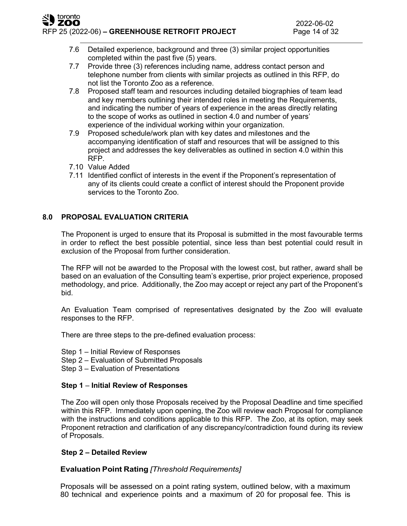RFP 25 (2022-06) **– GREENHOUSE RETROFIT PROJECT** Page 14 of 32

- 7.6 Detailed experience, background and three (3) similar project opportunities completed within the past five (5) years.
- 7.7 Provide three (3) references including name, address contact person and telephone number from clients with similar projects as outlined in this RFP, do not list the Toronto Zoo as a reference.
- 7.8 Proposed staff team and resources including detailed biographies of team lead and key members outlining their intended roles in meeting the Requirements, and indicating the number of years of experience in the areas directly relating to the scope of works as outlined in section 4.0 and number of years' experience of the individual working within your organization.
- 7.9 Proposed schedule/work plan with key dates and milestones and the accompanying identification of staff and resources that will be assigned to this project and addresses the key deliverables as outlined in section 4.0 within this RFP.
- 7.10 Value Added

toronto ZOO

> 7.11 Identified conflict of interests in the event if the Proponent's representation of any of its clients could create a conflict of interest should the Proponent provide services to the Toronto Zoo.

# **8.0 PROPOSAL EVALUATION CRITERIA**

The Proponent is urged to ensure that its Proposal is submitted in the most favourable terms in order to reflect the best possible potential, since less than best potential could result in exclusion of the Proposal from further consideration.

The RFP will not be awarded to the Proposal with the lowest cost, but rather, award shall be based on an evaluation of the Consulting team's expertise, prior project experience, proposed methodology, and price. Additionally, the Zoo may accept or reject any part of the Proponent's bid.

An Evaluation Team comprised of representatives designated by the Zoo will evaluate responses to the RFP.

There are three steps to the pre-defined evaluation process:

- Step 1 Initial Review of Responses
- Step 2 Evaluation of Submitted Proposals
- Step 3 Evaluation of Presentations

## **Step 1** – **Initial Review of Responses**

The Zoo will open only those Proposals received by the Proposal Deadline and time specified within this RFP. Immediately upon opening, the Zoo will review each Proposal for compliance with the instructions and conditions applicable to this RFP. The Zoo, at its option, may seek Proponent retraction and clarification of any discrepancy/contradiction found during its review of Proposals.

# **Step 2 – Detailed Review**

# **Evaluation Point Rating** *[Threshold Requirements]*

Proposals will be assessed on a point rating system, outlined below, with a maximum 80 technical and experience points and a maximum of 20 for proposal fee. This is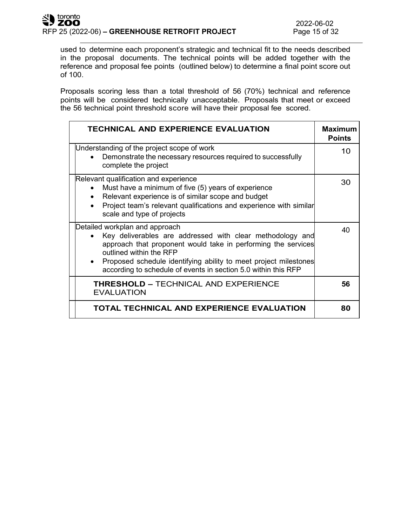used to determine each proponent's strategic and technical fit to the needs described in the proposal documents. The technical points will be added together with the reference and proposal fee points (outlined below) to determine a final point score out of 100.

Proposals scoring less than a total threshold of 56 (70%) technical and reference points will be considered technically unacceptable. Proposals that meet or exceed the 56 technical point threshold score will have their proposal fee scored.

| <b>TECHNICAL AND EXPERIENCE EVALUATION</b>                                                                                                                                                                                                                                                                                    | <b>Maximum</b><br><b>Points</b> |
|-------------------------------------------------------------------------------------------------------------------------------------------------------------------------------------------------------------------------------------------------------------------------------------------------------------------------------|---------------------------------|
| Understanding of the project scope of work<br>Demonstrate the necessary resources required to successfully<br>complete the project                                                                                                                                                                                            | 10                              |
| Relevant qualification and experience<br>Must have a minimum of five (5) years of experience<br>Relevant experience is of similar scope and budget<br>$\bullet$<br>Project team's relevant qualifications and experience with similar<br>scale and type of projects                                                           | 30                              |
| Detailed workplan and approach<br>Key deliverables are addressed with clear methodology and<br>approach that proponent would take in performing the services<br>outlined within the RFP<br>Proposed schedule identifying ability to meet project milestones<br>according to schedule of events in section 5.0 within this RFP | 40                              |
| <b>THRESHOLD - TECHNICAL AND EXPERIENCE</b><br><b>EVALUATION</b>                                                                                                                                                                                                                                                              | 56                              |
| TOTAL TECHNICAL AND EXPERIENCE EVALUATION                                                                                                                                                                                                                                                                                     | 80                              |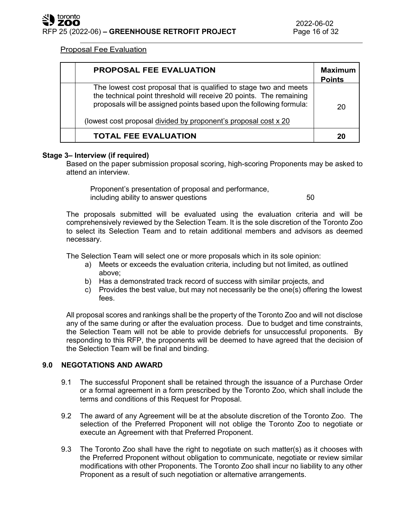# Proposal Fee Evaluation

| PROPOSAL FEE EVALUATION                                                                                                                                                                                                                                                            | <b>Maximum</b><br><b>Points</b> |
|------------------------------------------------------------------------------------------------------------------------------------------------------------------------------------------------------------------------------------------------------------------------------------|---------------------------------|
| The lowest cost proposal that is qualified to stage two and meets<br>the technical point threshold will receive 20 points. The remaining<br>proposals will be assigned points based upon the following formula:<br>(lowest cost proposal divided by proponent's proposal cost x 20 | 20                              |
| <b>TOTAL FEE EVALUATION</b>                                                                                                                                                                                                                                                        | 20                              |

## **Stage 3– Interview (if required)**

Based on the paper submission proposal scoring, high-scoring Proponents may be asked to attend an interview.

Proponent's presentation of proposal and performance, including ability to answer questions **50** 

The proposals submitted will be evaluated using the evaluation criteria and will be comprehensively reviewed by the Selection Team. It is the sole discretion of the Toronto Zoo to select its Selection Team and to retain additional members and advisors as deemed necessary.

The Selection Team will select one or more proposals which in its sole opinion:

- a) Meets or exceeds the evaluation criteria, including but not limited, as outlined above;
- b) Has a demonstrated track record of success with similar projects, and
- c) Provides the best value, but may not necessarily be the one(s) offering the lowest fees.

All proposal scores and rankings shall be the property of the Toronto Zoo and will not disclose any of the same during or after the evaluation process. Due to budget and time constraints, the Selection Team will not be able to provide debriefs for unsuccessful proponents. By responding to this RFP, the proponents will be deemed to have agreed that the decision of the Selection Team will be final and binding.

# **9.0 NEGOTATIONS AND AWARD**

- 9.1 The successful Proponent shall be retained through the issuance of a Purchase Order or a formal agreement in a form prescribed by the Toronto Zoo, which shall include the terms and conditions of this Request for Proposal.
- 9.2 The award of any Agreement will be at the absolute discretion of the Toronto Zoo. The selection of the Preferred Proponent will not oblige the Toronto Zoo to negotiate or execute an Agreement with that Preferred Proponent.
- 9.3 The Toronto Zoo shall have the right to negotiate on such matter(s) as it chooses with the Preferred Proponent without obligation to communicate, negotiate or review similar modifications with other Proponents. The Toronto Zoo shall incur no liability to any other Proponent as a result of such negotiation or alternative arrangements.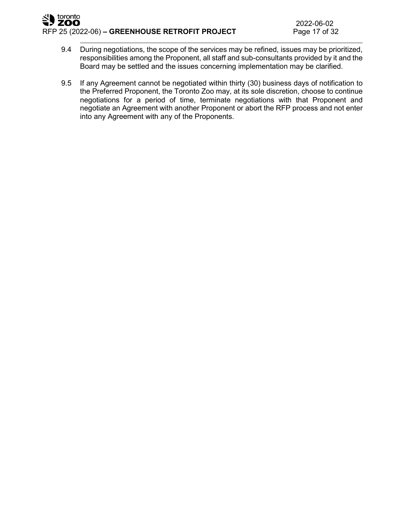#### toronto ZOO RFP 25 (2022-06) **– GREENHOUSE RETROFIT PROJECT** Page 17 of 32

- 9.4 During negotiations, the scope of the services may be refined, issues may be prioritized, responsibilities among the Proponent, all staff and sub-consultants provided by it and the Board may be settled and the issues concerning implementation may be clarified.
- 9.5 If any Agreement cannot be negotiated within thirty (30) business days of notification to the Preferred Proponent, the Toronto Zoo may, at its sole discretion, choose to continue negotiations for a period of time, terminate negotiations with that Proponent and negotiate an Agreement with another Proponent or abort the RFP process and not enter into any Agreement with any of the Proponents.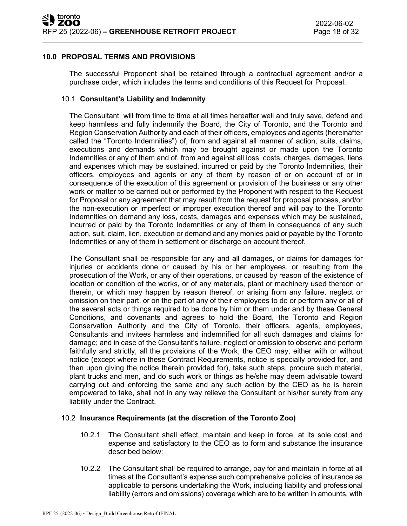## **10.0 PROPOSAL TERMS AND PROVISIONS**

The successful Proponent shall be retained through a contractual agreement and/or a purchase order, which includes the terms and conditions of this Request for Proposal.

### 10.1 **Consultant's Liability and Indemnity**

The Consultant will from time to time at all times hereafter well and truly save, defend and keep harmless and fully indemnify the Board, the City of Toronto, and the Toronto and Region Conservation Authority and each of their officers, employees and agents (hereinafter called the "Toronto Indemnities") of, from and against all manner of action, suits, claims, executions and demands which may be brought against or made upon the Toronto Indemnities or any of them and of, from and against all loss, costs, charges, damages, liens and expenses which may be sustained, incurred or paid by the Toronto Indemnities, their officers, employees and agents or any of them by reason of or on account of or in consequence of the execution of this agreement or provision of the business or any other work or matter to be carried out or performed by the Proponent with respect to the Request for Proposal or any agreement that may result from the request for proposal process, and/or the non-execution or imperfect or improper execution thereof and will pay to the Toronto Indemnities on demand any loss, costs, damages and expenses which may be sustained, incurred or paid by the Toronto Indemnities or any of them in consequence of any such action, suit, claim, lien, execution or demand and any monies paid or payable by the Toronto Indemnities or any of them in settlement or discharge on account thereof.

The Consultant shall be responsible for any and all damages, or claims for damages for injuries or accidents done or caused by his or her employees, or resulting from the prosecution of the Work, or any of their operations, or caused by reason of the existence of location or condition of the works, or of any materials, plant or machinery used thereon or therein, or which may happen by reason thereof, or arising from any failure, neglect or omission on their part, or on the part of any of their employees to do or perform any or all of the several acts or things required to be done by him or them under and by these General Conditions, and covenants and agrees to hold the Board, the Toronto and Region Conservation Authority and the City of Toronto, their officers, agents, employees, Consultants and invitees harmless and indemnified for all such damages and claims for damage; and in case of the Consultant's failure, neglect or omission to observe and perform faithfully and strictly, all the provisions of the Work, the CEO may, either with or without notice (except where in these Contract Requirements, notice is specially provided for, and then upon giving the notice therein provided for), take such steps, procure such material, plant trucks and men, and do such work or things as he/she may deem advisable toward carrying out and enforcing the same and any such action by the CEO as he is herein empowered to take, shall not in any way relieve the Consultant or his/her surety from any liability under the Contract.

## 10.2 **Insurance Requirements (at the discretion of the Toronto Zoo)**

- 10.2.1 The Consultant shall effect, maintain and keep in force, at its sole cost and expense and satisfactory to the CEO as to form and substance the insurance described below:
- 10.2.2 The Consultant shall be required to arrange, pay for and maintain in force at all times at the Consultant's expense such comprehensive policies of insurance as applicable to persons undertaking the Work, including liability and professional liability (errors and omissions) coverage which are to be written in amounts, with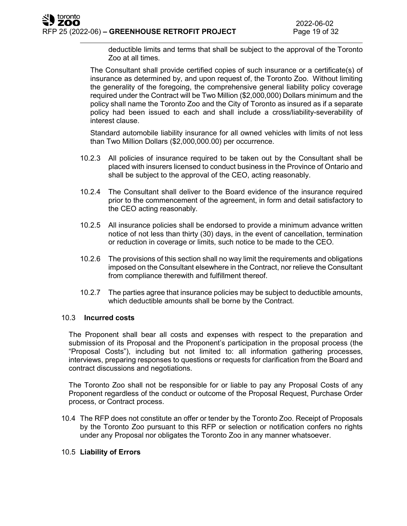deductible limits and terms that shall be subject to the approval of the Toronto Zoo at all times.

The Consultant shall provide certified copies of such insurance or a certificate(s) of insurance as determined by, and upon request of, the Toronto Zoo. Without limiting the generality of the foregoing, the comprehensive general liability policy coverage required under the Contract will be Two Million (\$2,000,000) Dollars minimum and the policy shall name the Toronto Zoo and the City of Toronto as insured as if a separate policy had been issued to each and shall include a cross/liability-severability of interest clause.

Standard automobile liability insurance for all owned vehicles with limits of not less than Two Million Dollars (\$2,000,000.00) per occurrence.

- 10.2.3 All policies of insurance required to be taken out by the Consultant shall be placed with insurers licensed to conduct business in the Province of Ontario and shall be subject to the approval of the CEO, acting reasonably.
- 10.2.4 The Consultant shall deliver to the Board evidence of the insurance required prior to the commencement of the agreement, in form and detail satisfactory to the CEO acting reasonably.
- 10.2.5 All insurance policies shall be endorsed to provide a minimum advance written notice of not less than thirty (30) days, in the event of cancellation, termination or reduction in coverage or limits, such notice to be made to the CEO.
- 10.2.6 The provisions of this section shall no way limit the requirements and obligations imposed on the Consultant elsewhere in the Contract, nor relieve the Consultant from compliance therewith and fulfillment thereof.
- 10.2.7 The parties agree that insurance policies may be subject to deductible amounts, which deductible amounts shall be borne by the Contract.

## 10.3 **Incurred costs**

The Proponent shall bear all costs and expenses with respect to the preparation and submission of its Proposal and the Proponent's participation in the proposal process (the "Proposal Costs"), including but not limited to: all information gathering processes, interviews, preparing responses to questions or requests for clarification from the Board and contract discussions and negotiations.

The Toronto Zoo shall not be responsible for or liable to pay any Proposal Costs of any Proponent regardless of the conduct or outcome of the Proposal Request, Purchase Order process, or Contract process.

10.4 The RFP does not constitute an offer or tender by the Toronto Zoo. Receipt of Proposals by the Toronto Zoo pursuant to this RFP or selection or notification confers no rights under any Proposal nor obligates the Toronto Zoo in any manner whatsoever.

## 10.5 **Liability of Errors**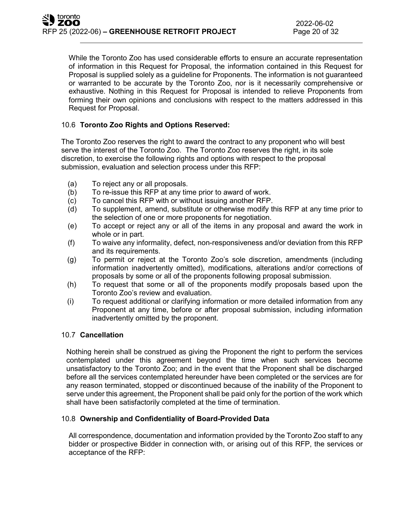While the Toronto Zoo has used considerable efforts to ensure an accurate representation of information in this Request for Proposal, the information contained in this Request for Proposal is supplied solely as a guideline for Proponents. The information is not guaranteed or warranted to be accurate by the Toronto Zoo, nor is it necessarily comprehensive or exhaustive. Nothing in this Request for Proposal is intended to relieve Proponents from forming their own opinions and conclusions with respect to the matters addressed in this Request for Proposal.

# 10.6 **Toronto Zoo Rights and Options Reserved:**

The Toronto Zoo reserves the right to award the contract to any proponent who will best serve the interest of the Toronto Zoo. The Toronto Zoo reserves the right, in its sole discretion, to exercise the following rights and options with respect to the proposal submission, evaluation and selection process under this RFP:

- (a) To reject any or all proposals.
- (b) To re-issue this RFP at any time prior to award of work.
- (c) To cancel this RFP with or without issuing another RFP.
- (d) To supplement, amend, substitute or otherwise modify this RFP at any time prior to the selection of one or more proponents for negotiation.
- (e) To accept or reject any or all of the items in any proposal and award the work in whole or in part.
- (f) To waive any informality, defect, non-responsiveness and/or deviation from this RFP and its requirements.
- (g) To permit or reject at the Toronto Zoo's sole discretion, amendments (including information inadvertently omitted), modifications, alterations and/or corrections of proposals by some or all of the proponents following proposal submission.
- (h) To request that some or all of the proponents modify proposals based upon the Toronto Zoo's review and evaluation.
- (i) To request additional or clarifying information or more detailed information from any Proponent at any time, before or after proposal submission, including information inadvertently omitted by the proponent.

## 10.7 **Cancellation**

Nothing herein shall be construed as giving the Proponent the right to perform the services contemplated under this agreement beyond the time when such services become unsatisfactory to the Toronto Zoo; and in the event that the Proponent shall be discharged before all the services contemplated hereunder have been completed or the services are for any reason terminated, stopped or discontinued because of the inability of the Proponent to serve under this agreement, the Proponent shall be paid only for the portion of the work which shall have been satisfactorily completed at the time of termination.

## 10.8 **Ownership and Confidentiality of Board-Provided Data**

All correspondence, documentation and information provided by the Toronto Zoo staff to any bidder or prospective Bidder in connection with, or arising out of this RFP, the services or acceptance of the RFP: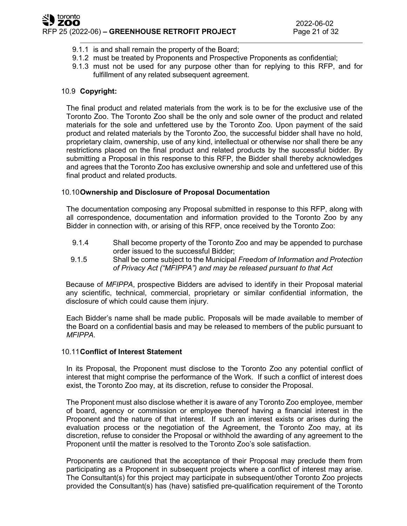- 9.1.1 is and shall remain the property of the Board;
- 9.1.2 must be treated by Proponents and Prospective Proponents as confidential;
- 9.1.3 must not be used for any purpose other than for replying to this RFP, and for fulfillment of any related subsequent agreement.

# 10.9 **Copyright:**

The final product and related materials from the work is to be for the exclusive use of the Toronto Zoo. The Toronto Zoo shall be the only and sole owner of the product and related materials for the sole and unfettered use by the Toronto Zoo. Upon payment of the said product and related materials by the Toronto Zoo, the successful bidder shall have no hold, proprietary claim, ownership, use of any kind, intellectual or otherwise nor shall there be any restrictions placed on the final product and related products by the successful bidder. By submitting a Proposal in this response to this RFP, the Bidder shall thereby acknowledges and agrees that the Toronto Zoo has exclusive ownership and sole and unfettered use of this final product and related products.

# 10.10**Ownership and Disclosure of Proposal Documentation**

The documentation composing any Proposal submitted in response to this RFP, along with all correspondence, documentation and information provided to the Toronto Zoo by any Bidder in connection with, or arising of this RFP, once received by the Toronto Zoo:

- 9.1.4 Shall become property of the Toronto Zoo and may be appended to purchase order issued to the successful Bidder;
- 9.1.5 Shall be come subject to the Municipal *Freedom of Information and Protection of Privacy Act ("MFIPPA") and may be released pursuant to that Act*

Because of *MFIPPA*, prospective Bidders are advised to identify in their Proposal material any scientific, technical, commercial, proprietary or similar confidential information, the disclosure of which could cause them injury.

Each Bidder's name shall be made public. Proposals will be made available to member of the Board on a confidential basis and may be released to members of the public pursuant to *MFIPPA.*

## 10.11**Conflict of Interest Statement**

In its Proposal, the Proponent must disclose to the Toronto Zoo any potential conflict of interest that might comprise the performance of the Work. If such a conflict of interest does exist, the Toronto Zoo may, at its discretion, refuse to consider the Proposal.

The Proponent must also disclose whether it is aware of any Toronto Zoo employee, member of board, agency or commission or employee thereof having a financial interest in the Proponent and the nature of that interest. If such an interest exists or arises during the evaluation process or the negotiation of the Agreement, the Toronto Zoo may, at its discretion, refuse to consider the Proposal or withhold the awarding of any agreement to the Proponent until the matter is resolved to the Toronto Zoo's sole satisfaction.

Proponents are cautioned that the acceptance of their Proposal may preclude them from participating as a Proponent in subsequent projects where a conflict of interest may arise. The Consultant(s) for this project may participate in subsequent/other Toronto Zoo projects provided the Consultant(s) has (have) satisfied pre-qualification requirement of the Toronto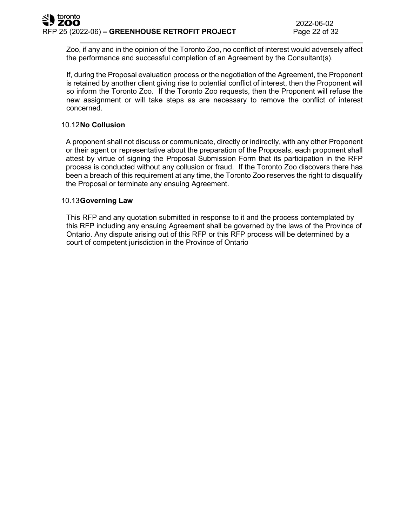Zoo, if any and in the opinion of the Toronto Zoo, no conflict of interest would adversely affect the performance and successful completion of an Agreement by the Consultant(s).

If, during the Proposal evaluation process or the negotiation of the Agreement, the Proponent is retained by another client giving rise to potential conflict of interest, then the Proponent will so inform the Toronto Zoo. If the Toronto Zoo requests, then the Proponent will refuse the new assignment or will take steps as are necessary to remove the conflict of interest concerned.

# 10.12**No Collusion**

A proponent shall not discuss or communicate, directly or indirectly, with any other Proponent or their agent or representative about the preparation of the Proposals, each proponent shall attest by virtue of signing the Proposal Submission Form that its participation in the RFP process is conducted without any collusion or fraud. If the Toronto Zoo discovers there has been a breach of this requirement at any time, the Toronto Zoo reserves the right to disqualify the Proposal or terminate any ensuing Agreement.

## 10.13**Governing Law**

This RFP and any quotation submitted in response to it and the process contemplated by this RFP including any ensuing Agreement shall be governed by the laws of the Province of Ontario. Any dispute arising out of this RFP or this RFP process will be determined by a court of competent ju**r**isdiction in the Province of Ontario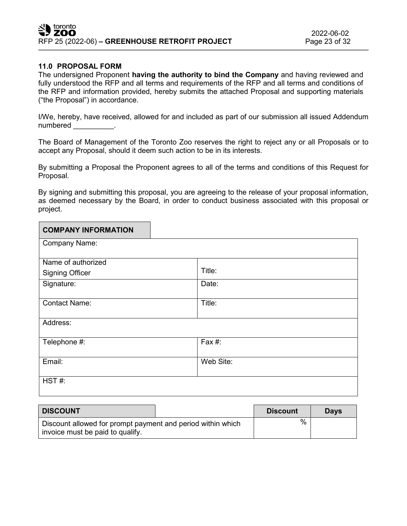# **11.0 PROPOSAL FORM**

The undersigned Proponent **having the authority to bind the Company** and having reviewed and fully understood the RFP and all terms and requirements of the RFP and all terms and conditions of the RFP and information provided, hereby submits the attached Proposal and supporting materials ("the Proposal") in accordance.

I/We, hereby, have received, allowed for and included as part of our submission all issued Addendum numbered in the set of the set of the set of the set of the set of the set of the set of the set of the set of the set of the set of the set of the set of the set of the set of the set of the set of the set of the set of t

The Board of Management of the Toronto Zoo reserves the right to reject any or all Proposals or to accept any Proposal, should it deem such action to be in its interests.

By submitting a Proposal the Proponent agrees to all of the terms and conditions of this Request for Proposal.

By signing and submitting this proposal, you are agreeing to the release of your proposal information, as deemed necessary by the Board, in order to conduct business associated with this proposal or project.

| <b>COMPANY INFORMATION</b> |           |
|----------------------------|-----------|
| Company Name:              |           |
| Name of authorized         |           |
| <b>Signing Officer</b>     | Title:    |
| Signature:                 | Date:     |
| <b>Contact Name:</b>       | Title:    |
| Address:                   |           |
| Telephone #:               | Fax #:    |
| Email:                     | Web Site: |
| HST#:                      |           |

| <b>DISCOUNT</b>                                                                                 | <b>Discount</b> | <b>Davs</b> |
|-------------------------------------------------------------------------------------------------|-----------------|-------------|
| Discount allowed for prompt payment and period within which<br>invoice must be paid to qualify. | %               |             |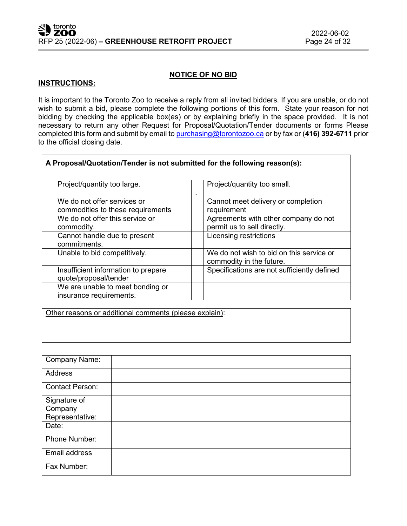## **NOTICE OF NO BID**

### **INSTRUCTIONS:**

 $\overline{1}$ 

It is important to the Toronto Zoo to receive a reply from all invited bidders. If you are unable, or do not wish to submit a bid, please complete the following portions of this form. State your reason for not bidding by checking the applicable box(es) or by explaining briefly in the space provided. It is not necessary to return any other Request for Proposal/Quotation/Tender documents or forms Please completed this form and submit by email to [purchasing@torontozoo.ca](mailto:purchasing@torontozoo.ca) or by fax or (**416) 392-6711** prior to the official closing date.

| A Proposal/Quotation/Tender is not submitted for the following reason(s): |                                                                      |
|---------------------------------------------------------------------------|----------------------------------------------------------------------|
| Project/quantity too large.                                               | Project/quantity too small.<br>٠                                     |
| We do not offer services or<br>commodities to these requirements          | Cannot meet delivery or completion<br>requirement                    |
| We do not offer this service or<br>commodity.                             | Agreements with other company do not<br>permit us to sell directly.  |
| Cannot handle due to present<br>commitments.                              | Licensing restrictions                                               |
| Unable to bid competitively.                                              | We do not wish to bid on this service or<br>commodity in the future. |
| Insufficient information to prepare<br>quote/proposal/tender              | Specifications are not sufficiently defined                          |
| We are unable to meet bonding or<br>insurance requirements.               |                                                                      |

Other reasons or additional comments (please explain):

| Company Name:           |  |
|-------------------------|--|
| <b>Address</b>          |  |
| <b>Contact Person:</b>  |  |
| Signature of<br>Company |  |
| Representative:         |  |
| Date:                   |  |
| Phone Number:           |  |
| Email address           |  |
| Fax Number:             |  |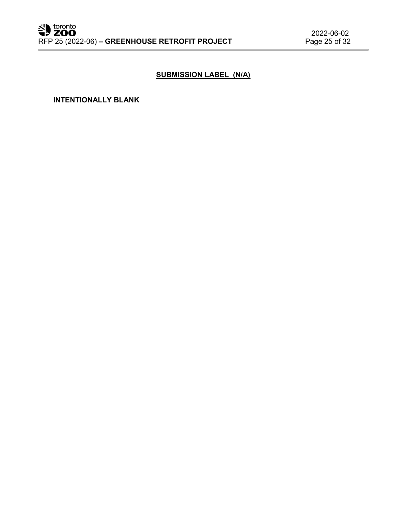# **SUBMISSION LABEL (N/A)**

**INTENTIONALLY BLANK**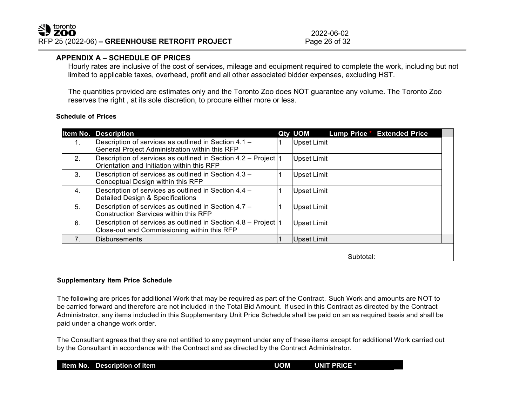2022-06-02<br>Page 26 of 32

## **APPENDIX A – SCHEDULE OF PRICES**

Hourly rates are inclusive of the cost of services, mileage and equipment required to complete the work, including but not limited to applicable taxes, overhead, profit and all other associated bidder expenses, excluding HST.

The quantities provided are estimates only and the Toronto Zoo does NOT guarantee any volume. The Toronto Zoo reserves the right , at its sole discretion, to procure either more or less.

#### **Schedule of Prices**

|    | <b>Item No. Description</b>                                                                                    | Qty UOM     | <b>Lump Price *</b> | <b>Extended Price</b> |  |
|----|----------------------------------------------------------------------------------------------------------------|-------------|---------------------|-----------------------|--|
| 1. | Description of services as outlined in Section 4.1 -<br>General Project Administration within this RFP         | Upset Limit |                     |                       |  |
| 2. | Description of services as outlined in Section 4.2 - Project  1<br>Orientation and Initiation within this RFP  | Upset Limit |                     |                       |  |
| 3. | Description of services as outlined in Section 4.3 -<br>Conceptual Design within this RFP                      | Upset Limit |                     |                       |  |
| 4. | Description of services as outlined in Section 4.4 -<br>Detailed Design & Specifications                       | Upset Limit |                     |                       |  |
| 5. | Description of services as outlined in Section 4.7 -<br>Construction Services within this RFP                  | Upset Limit |                     |                       |  |
| 6. | Description of services as outlined in Section 4.8 – Project  1<br>Close-out and Commissioning within this RFP | Upset Limit |                     |                       |  |
| 7. | <b>IDisbursements</b>                                                                                          | Upset Limit |                     |                       |  |
|    |                                                                                                                |             | Subtotal:           |                       |  |

#### **Supplementary Item Price Schedule**

The following are prices for additional Work that may be required as part of the Contract. Such Work and amounts are NOT to be carried forward and therefore are not included in the Total Bid Amount. If used in this Contract as directed by the Contract Administrator, any items included in this Supplementary Unit Price Schedule shall be paid on an as required basis and shall be paid under a change work order.

The Consultant agrees that they are not entitled to any payment under any of these items except for additional Work carried out by the Consultant in accordance with the Contract and as directed by the Contract Administrator.

|  |  | Item No. Description of item | <b>UOM</b> | <b>UNIT PRICE *</b> |
|--|--|------------------------------|------------|---------------------|
|--|--|------------------------------|------------|---------------------|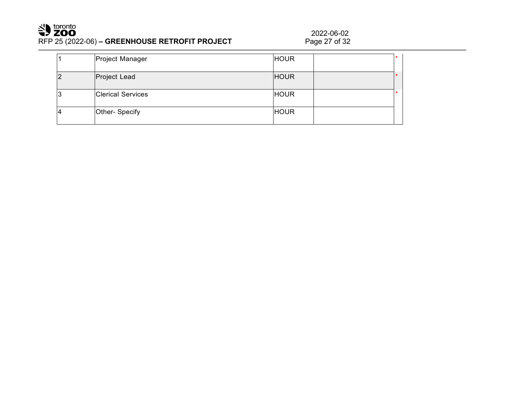# Superiorphic RFP 25 (2022-06) **– GREENHOUSE RETROFIT PROJECT**

2022-06-02<br>Page 27 of 32

| Project Manager          | <b>HOUR</b> |  |
|--------------------------|-------------|--|
| Project Lead             | <b>HOUR</b> |  |
| <b>Clerical Services</b> | <b>HOUR</b> |  |
| Other- Specify           | <b>HOUR</b> |  |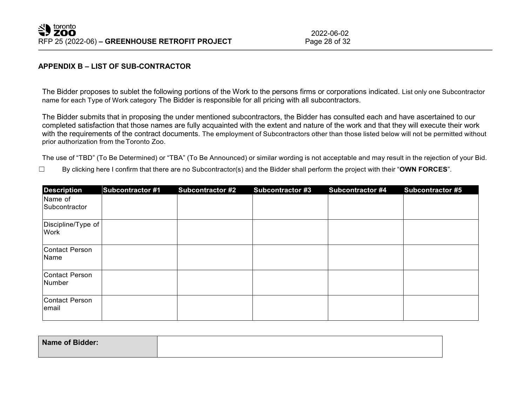# **APPENDIX B – LIST OF SUB-CONTRACTOR**

The Bidder proposes to sublet the following portions of the Work to the persons firms or corporations indicated. List only one Subcontractor name for each Type of Work category The Bidder is responsible for all pricing with all subcontractors.

The Bidder submits that in proposing the under mentioned subcontractors, the Bidder has consulted each and have ascertained to our completed satisfaction that those names are fully acquainted with the extent and nature of the work and that they will execute their work with the requirements of the contract documents. The employment of Subcontractors other than those listed below will not be permitted without prior authorization from theToronto Zoo.

The use of "TBD" (To Be Determined) or "TBA" (To Be Announced) or similar wording is not acceptable and may result in the rejection of your Bid.

☐ By clicking here I confirm that there are no Subcontractor(s) and the Bidder shall perform the project with their "**OWN FORCES**".

| <b>Description</b>         | <b>Subcontractor #1</b> | <b>Subcontractor #2</b> | <b>Subcontractor #3</b> | <b>Subcontractor #4</b> | <b>Subcontractor #5</b> |
|----------------------------|-------------------------|-------------------------|-------------------------|-------------------------|-------------------------|
| Name of<br>Subcontractor   |                         |                         |                         |                         |                         |
| Discipline/Type of<br>Work |                         |                         |                         |                         |                         |
| Contact Person<br>Name     |                         |                         |                         |                         |                         |
| Contact Person<br>Number   |                         |                         |                         |                         |                         |
| Contact Person<br>lemail   |                         |                         |                         |                         |                         |

| <b>Name of Bidder:</b> |  |
|------------------------|--|
|                        |  |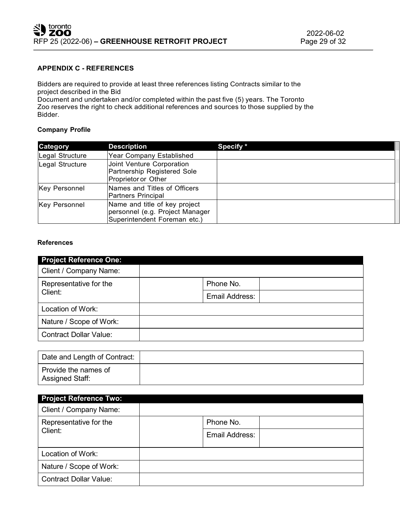#### **APPENDIX C - REFERENCES**

Bidders are required to provide at least three references listing Contracts similar to the project described in the Bid

Document and undertaken and/or completed within the past five (5) years. The Toronto Zoo reserves the right to check additional references and sources to those supplied by the Bidder.

#### **Company Profile**

| Category             | <b>Description</b>                                                                               | Specify * |
|----------------------|--------------------------------------------------------------------------------------------------|-----------|
| Legal Structure      | Year Company Established                                                                         |           |
| Legal Structure      | Joint Venture Corporation<br>Partnership Registered Sole<br>Proprietor or Other                  |           |
| <b>Key Personnel</b> | Names and Titles of Officers<br>Partners Principal                                               |           |
| <b>Key Personnel</b> | Name and title of key project<br>personnel (e.g. Project Manager<br>Superintendent Foreman etc.) |           |

#### **References**

| <b>Project Reference One:</b> |                |
|-------------------------------|----------------|
| Client / Company Name:        |                |
| Representative for the        | Phone No.      |
| Client:                       | Email Address: |
| Location of Work:             |                |
| Nature / Scope of Work:       |                |
| <b>Contract Dollar Value:</b> |                |

| Date and Length of Contract:            |  |
|-----------------------------------------|--|
| Provide the names of<br>Assigned Staff: |  |

| <b>Project Reference Two:</b> |                |  |
|-------------------------------|----------------|--|
| Client / Company Name:        |                |  |
| Representative for the        | Phone No.      |  |
| Client:                       | Email Address: |  |
| Location of Work:             |                |  |
| Nature / Scope of Work:       |                |  |
| <b>Contract Dollar Value:</b> |                |  |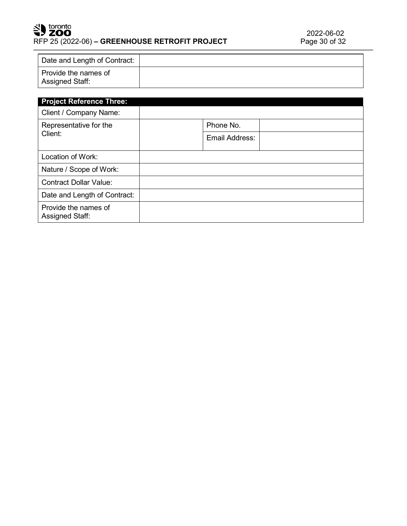# SU toronto RFP 25 (2022-06) - GREENHOUSE RETROFIT PROJECT

| Date and Length of Contract:            |  |
|-----------------------------------------|--|
| Provide the names of<br>Assigned Staff: |  |

| <b>Project Reference Three:</b>         |                |  |
|-----------------------------------------|----------------|--|
| Client / Company Name:                  |                |  |
| Representative for the                  | Phone No.      |  |
| Client:                                 | Email Address: |  |
| Location of Work:                       |                |  |
| Nature / Scope of Work:                 |                |  |
| <b>Contract Dollar Value:</b>           |                |  |
| Date and Length of Contract:            |                |  |
| Provide the names of<br>Assigned Staff: |                |  |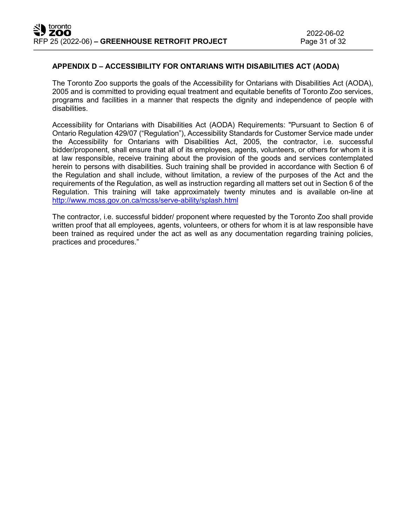# **APPENDIX D – ACCESSIBILITY FOR ONTARIANS WITH DISABILITIES ACT (AODA)**

The Toronto Zoo supports the goals of the Accessibility for Ontarians with Disabilities Act (AODA), 2005 and is committed to providing equal treatment and equitable benefits of Toronto Zoo services, programs and facilities in a manner that respects the dignity and independence of people with disabilities.

Accessibility for Ontarians with Disabilities Act (AODA) Requirements: "Pursuant to Section 6 of Ontario Regulation 429/07 ("Regulation"), Accessibility Standards for Customer Service made under the Accessibility for Ontarians with Disabilities Act, 2005, the contractor, i.e. successful bidder/proponent, shall ensure that all of its employees, agents, volunteers, or others for whom it is at law responsible, receive training about the provision of the goods and services contemplated herein to persons with disabilities. Such training shall be provided in accordance with Section 6 of the Regulation and shall include, without limitation, a review of the purposes of the Act and the requirements of the Regulation, as well as instruction regarding all matters set out in Section 6 of the Regulation. This training will take approximately twenty minutes and is available on-line at <http://www.mcss.gov.on.ca/mcss/serve-ability/splash.html>

The contractor, i.e. successful bidder/ proponent where requested by the Toronto Zoo shall provide written proof that all employees, agents, volunteers, or others for whom it is at law responsible have been trained as required under the act as well as any documentation regarding training policies, practices and procedures."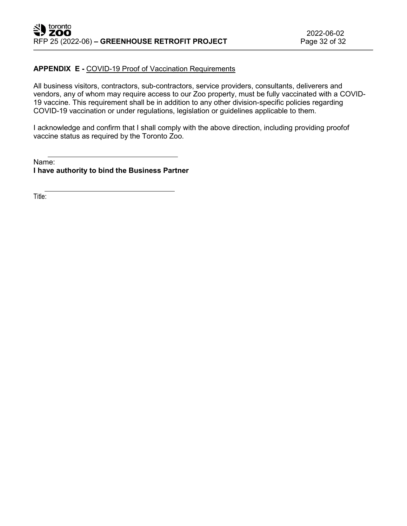## **APPENDIX E -** COVID-19 Proof of Vaccination Requirements

All business visitors, contractors, sub-contractors, service providers, consultants, deliverers and vendors, any of whom may require access to our Zoo property, must be fully vaccinated with a COVID-19 vaccine. This requirement shall be in addition to any other division-specific policies regarding COVID-19 vaccination or under regulations, legislation or guidelines applicable to them.

I acknowledge and confirm that I shall comply with the above direction, including providing proofof vaccine status as required by the Toronto Zoo.

Name: **I have authority to bind the Business Partner**

Title: